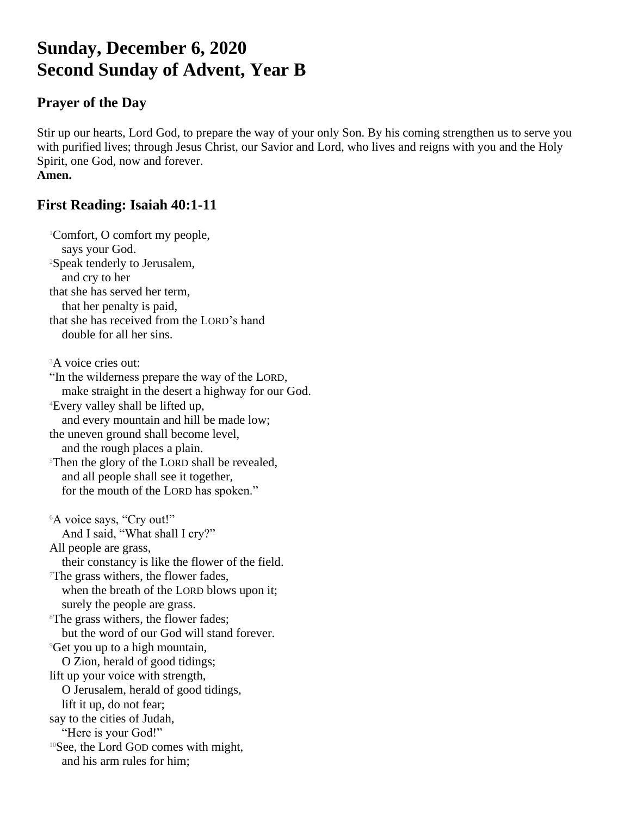# **Sunday, December 6, 2020 Second Sunday of Advent, Year B**

# **Prayer of the Day**

Stir up our hearts, Lord God, to prepare the way of your only Son. By his coming strengthen us to serve you with purified lives; through Jesus Christ, our Savior and Lord, who lives and reigns with you and the Holy Spirit, one God, now and forever. **Amen.**

# **First Reading: Isaiah 40:1-11**

<sup>1</sup>Comfort, O comfort my people, says your God. <sup>2</sup>Speak tenderly to Jerusalem, and cry to her that she has served her term, that her penalty is paid, that she has received from the LORD's hand double for all her sins. <sup>3</sup>A voice cries out: "In the wilderness prepare the way of the LORD, make straight in the desert a highway for our God. <sup>4</sup>Every valley shall be lifted up, and every mountain and hill be made low; the uneven ground shall become level, and the rough places a plain. <sup>5</sup>Then the glory of the LORD shall be revealed, and all people shall see it together, for the mouth of the LORD has spoken." <sup>6</sup>A voice says, "Cry out!" And I said, "What shall I cry?" All people are grass, their constancy is like the flower of the field. <sup>7</sup>The grass withers, the flower fades, when the breath of the LORD blows upon it; surely the people are grass. <sup>8</sup>The grass withers, the flower fades: but the word of our God will stand forever. <sup>9</sup>Get you up to a high mountain, O Zion, herald of good tidings; lift up your voice with strength, O Jerusalem, herald of good tidings, lift it up, do not fear; say to the cities of Judah, "Here is your God!" <sup>10</sup>See, the Lord GOD comes with might, and his arm rules for him;